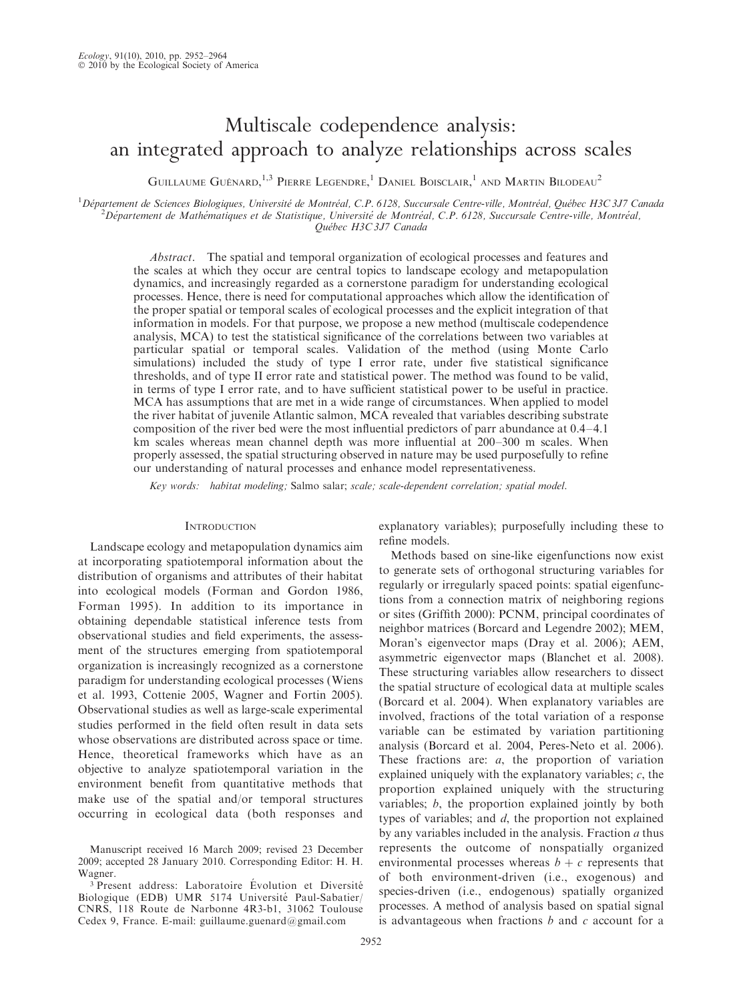# Multiscale codependence analysis: an integrated approach to analyze relationships across scales

GUILLAUME GUÉNARD,  $^{1,3}$  Pierre Legendre,  $^{1}$  Daniel Boisclair,  $^{1}$  and Martin Bilodeau<sup>2</sup>

<sup>1</sup> Département de Sciences Biologiques, Université de Montréal, C.P. 6128, Succursale Centre-ville, Montréal, Québec H3C 3J7 Canada <sup>2</sup> Département de Mathématiques et de Statistique, Université de Montréal, C.P. 6128, Su <sup>2</sup>Département de Mathématiques et de Statistique, Université de Montréal, C.P. 6128, Succursale Centre-ville, Montréal, Que´bec H3C 3J7 Canada

Abstract. The spatial and temporal organization of ecological processes and features and the scales at which they occur are central topics to landscape ecology and metapopulation dynamics, and increasingly regarded as a cornerstone paradigm for understanding ecological processes. Hence, there is need for computational approaches which allow the identification of the proper spatial or temporal scales of ecological processes and the explicit integration of that information in models. For that purpose, we propose a new method (multiscale codependence analysis, MCA) to test the statistical significance of the correlations between two variables at particular spatial or temporal scales. Validation of the method (using Monte Carlo simulations) included the study of type I error rate, under five statistical significance thresholds, and of type II error rate and statistical power. The method was found to be valid, in terms of type I error rate, and to have sufficient statistical power to be useful in practice. MCA has assumptions that are met in a wide range of circumstances. When applied to model the river habitat of juvenile Atlantic salmon, MCA revealed that variables describing substrate composition of the river bed were the most influential predictors of parr abundance at 0.4–4.1 km scales whereas mean channel depth was more influential at 200–300 m scales. When properly assessed, the spatial structuring observed in nature may be used purposefully to refine our understanding of natural processes and enhance model representativeness.

Key words: habitat modeling; Salmo salar; scale; scale-dependent correlation; spatial model.

## **INTRODUCTION**

Landscape ecology and metapopulation dynamics aim at incorporating spatiotemporal information about the distribution of organisms and attributes of their habitat into ecological models (Forman and Gordon 1986, Forman 1995). In addition to its importance in obtaining dependable statistical inference tests from observational studies and field experiments, the assessment of the structures emerging from spatiotemporal organization is increasingly recognized as a cornerstone paradigm for understanding ecological processes (Wiens et al. 1993, Cottenie 2005, Wagner and Fortin 2005). Observational studies as well as large-scale experimental studies performed in the field often result in data sets whose observations are distributed across space or time. Hence, theoretical frameworks which have as an objective to analyze spatiotemporal variation in the environment benefit from quantitative methods that make use of the spatial and/or temporal structures occurring in ecological data (both responses and explanatory variables); purposefully including these to refine models.

Methods based on sine-like eigenfunctions now exist to generate sets of orthogonal structuring variables for regularly or irregularly spaced points: spatial eigenfunctions from a connection matrix of neighboring regions or sites (Griffith 2000): PCNM, principal coordinates of neighbor matrices (Borcard and Legendre 2002); MEM, Moran's eigenvector maps (Dray et al. 2006); AEM, asymmetric eigenvector maps (Blanchet et al. 2008). These structuring variables allow researchers to dissect the spatial structure of ecological data at multiple scales (Borcard et al. 2004). When explanatory variables are involved, fractions of the total variation of a response variable can be estimated by variation partitioning analysis (Borcard et al. 2004, Peres-Neto et al. 2006). These fractions are: a, the proportion of variation explained uniquely with the explanatory variables;  $c$ , the proportion explained uniquely with the structuring variables; b, the proportion explained jointly by both types of variables; and d, the proportion not explained by any variables included in the analysis. Fraction  $a$  thus represents the outcome of nonspatially organized environmental processes whereas  $b + c$  represents that of both environment-driven (i.e., exogenous) and species-driven (i.e., endogenous) spatially organized processes. A method of analysis based on spatial signal is advantageous when fractions  $b$  and  $c$  account for a

Manuscript received 16 March 2009; revised 23 December 2009; accepted 28 January 2010. Corresponding Editor: H. H. Wagner.

<sup>&</sup>lt;sup>3</sup> Present address: Laboratoire Évolution et Diversité Biologique (EDB) UMR 5174 Université Paul-Sabatier/ CNRS, 118 Route de Narbonne 4R3-b1, 31062 Toulouse Cedex 9, France. E-mail: guillaume.guenard@gmail.com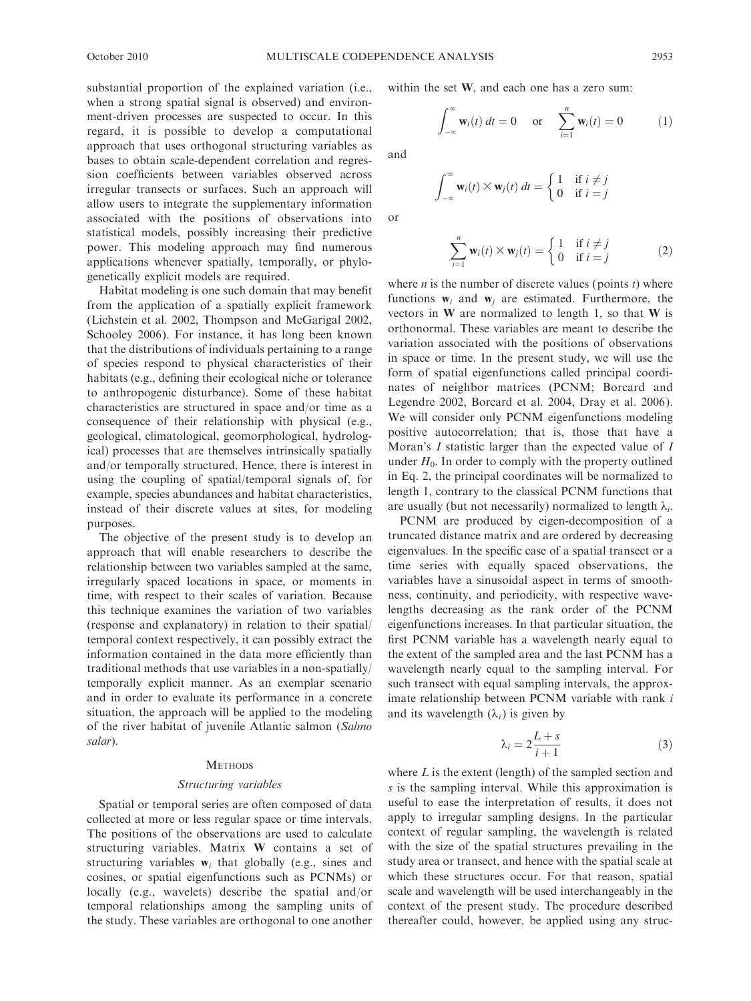substantial proportion of the explained variation (i.e., when a strong spatial signal is observed) and environment-driven processes are suspected to occur. In this regard, it is possible to develop a computational approach that uses orthogonal structuring variables as bases to obtain scale-dependent correlation and regression coefficients between variables observed across irregular transects or surfaces. Such an approach will allow users to integrate the supplementary information associated with the positions of observations into statistical models, possibly increasing their predictive power. This modeling approach may find numerous applications whenever spatially, temporally, or phylogenetically explicit models are required.

Habitat modeling is one such domain that may benefit from the application of a spatially explicit framework (Lichstein et al. 2002, Thompson and McGarigal 2002, Schooley 2006). For instance, it has long been known that the distributions of individuals pertaining to a range of species respond to physical characteristics of their habitats (e.g., defining their ecological niche or tolerance to anthropogenic disturbance). Some of these habitat characteristics are structured in space and/or time as a consequence of their relationship with physical (e.g., geological, climatological, geomorphological, hydrological) processes that are themselves intrinsically spatially and/or temporally structured. Hence, there is interest in using the coupling of spatial/temporal signals of, for example, species abundances and habitat characteristics, instead of their discrete values at sites, for modeling purposes.

The objective of the present study is to develop an approach that will enable researchers to describe the relationship between two variables sampled at the same, irregularly spaced locations in space, or moments in time, with respect to their scales of variation. Because this technique examines the variation of two variables (response and explanatory) in relation to their spatial/ temporal context respectively, it can possibly extract the information contained in the data more efficiently than traditional methods that use variables in a non-spatially/ temporally explicit manner. As an exemplar scenario and in order to evaluate its performance in a concrete situation, the approach will be applied to the modeling of the river habitat of juvenile Atlantic salmon (Salmo salar).

## **METHODS**

#### Structuring variables

Spatial or temporal series are often composed of data collected at more or less regular space or time intervals. The positions of the observations are used to calculate structuring variables. Matrix W contains a set of structuring variables  $w_i$  that globally (e.g., sines and cosines, or spatial eigenfunctions such as PCNMs) or locally (e.g., wavelets) describe the spatial and/or temporal relationships among the sampling units of the study. These variables are orthogonal to one another within the set W, and each one has a zero sum:

$$
\int_{-\infty}^{\infty} \mathbf{w}_i(t) dt = 0 \quad \text{or} \quad \sum_{i=1}^{n} \mathbf{w}_i(t) = 0 \quad (1)
$$

and

or

$$
\int_{-\infty}^{\infty} \mathbf{w}_i(t) \times \mathbf{w}_j(t) dt = \begin{cases} 1 & \text{if } i \neq j \\ 0 & \text{if } i = j \end{cases}
$$

$$
\sum_{i=1}^{n} \mathbf{w}_i(t) \times \mathbf{w}_j(t) = \begin{cases} 1 & \text{if } i \neq j \\ 0 & \text{if } i = j \end{cases}
$$
 (2)

where  $n$  is the number of discrete values (points  $t$ ) where functions  $w_i$  and  $w_j$  are estimated. Furthermore, the vectors in W are normalized to length 1, so that W is orthonormal. These variables are meant to describe the variation associated with the positions of observations in space or time. In the present study, we will use the form of spatial eigenfunctions called principal coordinates of neighbor matrices (PCNM; Borcard and Legendre 2002, Borcard et al. 2004, Dray et al. 2006). We will consider only PCNM eigenfunctions modeling positive autocorrelation; that is, those that have a Moran's *I* statistic larger than the expected value of *I* under  $H_0$ . In order to comply with the property outlined in Eq. 2, the principal coordinates will be normalized to length 1, contrary to the classical PCNM functions that are usually (but not necessarily) normalized to length  $\lambda_i$ .

PCNM are produced by eigen-decomposition of a truncated distance matrix and are ordered by decreasing eigenvalues. In the specific case of a spatial transect or a time series with equally spaced observations, the variables have a sinusoidal aspect in terms of smoothness, continuity, and periodicity, with respective wavelengths decreasing as the rank order of the PCNM eigenfunctions increases. In that particular situation, the first PCNM variable has a wavelength nearly equal to the extent of the sampled area and the last PCNM has a wavelength nearly equal to the sampling interval. For such transect with equal sampling intervals, the approximate relationship between PCNM variable with rank i and its wavelength  $(\lambda_i)$  is given by

$$
\lambda_i = 2\frac{L+s}{i+1} \tag{3}
$$

where  $L$  is the extent (length) of the sampled section and s is the sampling interval. While this approximation is useful to ease the interpretation of results, it does not apply to irregular sampling designs. In the particular context of regular sampling, the wavelength is related with the size of the spatial structures prevailing in the study area or transect, and hence with the spatial scale at which these structures occur. For that reason, spatial scale and wavelength will be used interchangeably in the context of the present study. The procedure described thereafter could, however, be applied using any struc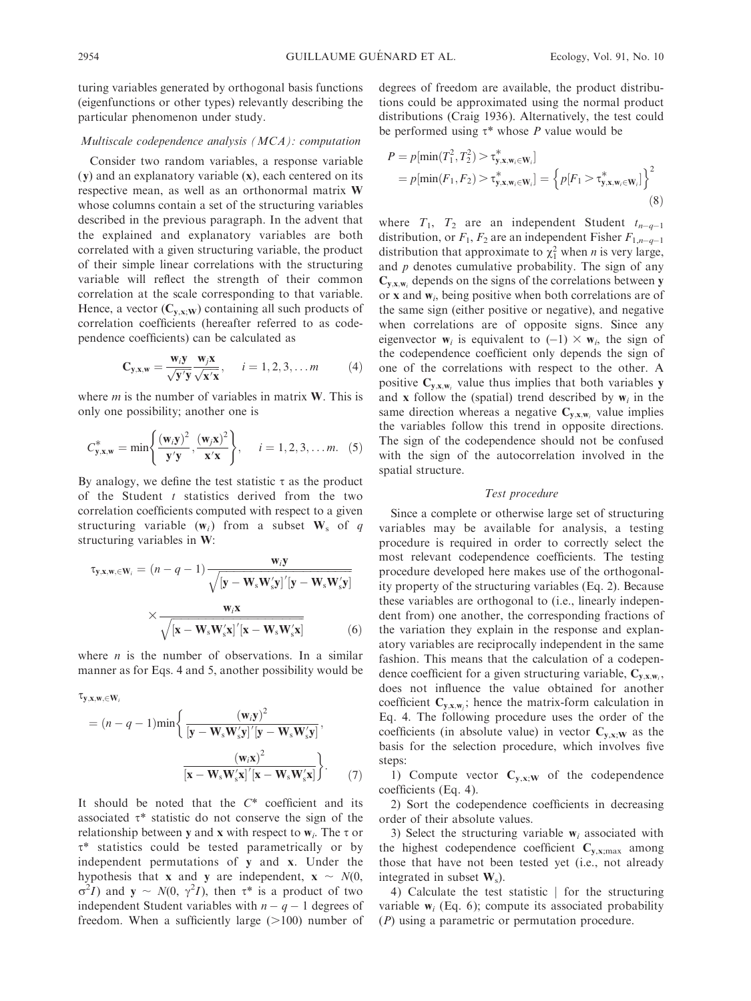turing variables generated by orthogonal basis functions (eigenfunctions or other types) relevantly describing the particular phenomenon under study.

## Multiscale codependence analysis (MCA): computation

Consider two random variables, a response variable (y) and an explanatory variable (x), each centered on its respective mean, as well as an orthonormal matrix W whose columns contain a set of the structuring variables described in the previous paragraph. In the advent that the explained and explanatory variables are both correlated with a given structuring variable, the product of their simple linear correlations with the structuring variable will reflect the strength of their common correlation at the scale corresponding to that variable. Hence, a vector  $(C_{v,x}:W)$  containing all such products of correlation coefficients (hereafter referred to as codependence coefficients) can be calculated as

$$
\mathbf{C}_{\mathbf{y},\mathbf{x},\mathbf{w}} = \frac{\mathbf{w}_i \mathbf{y}}{\sqrt{\mathbf{y}' \mathbf{y}}} \frac{\mathbf{w}_j \mathbf{x}}{\sqrt{\mathbf{x}' \mathbf{x}}}, \quad i = 1, 2, 3, \dots m \tag{4}
$$

where  $m$  is the number of variables in matrix **W**. This is only one possibility; another one is

$$
C_{\mathbf{y},\mathbf{x},\mathbf{w}}^* = \min\left\{\frac{(\mathbf{w}_i\mathbf{y})^2}{\mathbf{y}'\mathbf{y}}, \frac{(\mathbf{w}_j\mathbf{x})^2}{\mathbf{x}'\mathbf{x}}\right\}, \quad i = 1, 2, 3, \dots m. \quad (5)
$$

By analogy, we define the test statistic  $\tau$  as the product of the Student  $t$  statistics derived from the two correlation coefficients computed with respect to a given structuring variable  $(w_i)$  from a subset  $W_s$  of q structuring variables in W:

$$
\tau_{\mathbf{y},\mathbf{x},\mathbf{w},\in\mathbf{W}_i} = (n-q-1)\frac{\mathbf{w}_i\mathbf{y}}{\sqrt{[\mathbf{y}-\mathbf{W}_s\mathbf{W}_s'\mathbf{y}]}'[\mathbf{y}-\mathbf{W}_s\mathbf{W}_s'\mathbf{y}]}\n\times \frac{\mathbf{w}_i\mathbf{x}}{\sqrt{[\mathbf{x}-\mathbf{W}_s\mathbf{W}_s'\mathbf{x}]}'[\mathbf{x}-\mathbf{W}_s\mathbf{W}_s'\mathbf{x}]}\n\t\t\t\t(6)
$$

where  $n$  is the number of observations. In a similar manner as for Eqs. 4 and 5, another possibility would be

 $\tau_{y,x,w,\in W_i}$ 

$$
= (n - q - 1) \min \left\{ \frac{(\mathbf{w}_i \mathbf{y})^2}{[\mathbf{y} - \mathbf{W}_s \mathbf{W}_s' \mathbf{y}]}'[\mathbf{y} - \mathbf{W}_s \mathbf{W}_s' \mathbf{y}]}, \frac{(\mathbf{w}_i \mathbf{x})^2}{[\mathbf{x} - \mathbf{W}_s \mathbf{W}_s' \mathbf{x}]} \right\}.
$$
 (7)

It should be noted that the  $C^*$  coefficient and its associated  $\tau^*$  statistic do not conserve the sign of the relationship between y and x with respect to  $w_i$ . The  $\tau$  or  $\tau^*$  statistics could be tested parametrically or by independent permutations of y and x. Under the hypothesis that **x** and **y** are independent,  $\mathbf{x} \sim N(0,$  $\sigma^2 I$ ) and  $y \sim N(0, \gamma^2 I)$ , then  $\tau^*$  is a product of two independent Student variables with  $n - q - 1$  degrees of freedom. When a sufficiently large  $(>100)$  number of degrees of freedom are available, the product distributions could be approximated using the normal product distributions (Craig 1936). Alternatively, the test could be performed using  $\tau^*$  whose P value would be

$$
P = p[\min(T_1^2, T_2^2) > \tau_{\mathbf{y}, \mathbf{x}, \mathbf{w}_i \in \mathbf{W}_i}^*]
$$
  
=  $p[\min(F_1, F_2) > \tau_{\mathbf{y}, \mathbf{x}, \mathbf{w}_i \in \mathbf{W}_i}^*]$  =  $\left\{ p[F_1 > \tau_{\mathbf{y}, \mathbf{x}, \mathbf{w}_i \in \mathbf{W}_i}^*] \right\}^2$  (8)

where  $T_1$ ,  $T_2$  are an independent Student  $t_{n-q-1}$ distribution, or  $F_1, F_2$  are an independent Fisher  $F_{1,n-q-1}$ distribution that approximate to  $\chi_1^2$  when *n* is very large, and  $p$  denotes cumulative probability. The sign of any  $C_{v,x,w_i}$  depends on the signs of the correlations between y or  $x$  and  $w_i$ , being positive when both correlations are of the same sign (either positive or negative), and negative when correlations are of opposite signs. Since any eigenvector  $w_i$  is equivalent to  $(-1) \times w_i$ , the sign of the codependence coefficient only depends the sign of one of the correlations with respect to the other. A positive  $C_{v,x,w}$  value thus implies that both variables y and x follow the (spatial) trend described by  $w_i$  in the same direction whereas a negative  $C_{v,x,w_i}$  value implies the variables follow this trend in opposite directions. The sign of the codependence should not be confused with the sign of the autocorrelation involved in the spatial structure.

# Test procedure

Since a complete or otherwise large set of structuring variables may be available for analysis, a testing procedure is required in order to correctly select the most relevant codependence coefficients. The testing procedure developed here makes use of the orthogonality property of the structuring variables (Eq. 2). Because these variables are orthogonal to (i.e., linearly independent from) one another, the corresponding fractions of the variation they explain in the response and explanatory variables are reciprocally independent in the same fashion. This means that the calculation of a codependence coefficient for a given structuring variable,  $C_{y,x,w_i}$ , does not influence the value obtained for another coefficient  $C_{v,x,w}$ ; hence the matrix-form calculation in Eq. 4. The following procedure uses the order of the coefficients (in absolute value) in vector  $C_{v,x;W}$  as the basis for the selection procedure, which involves five steps:

1) Compute vector  $C_{y,x;W}$  of the codependence coefficients (Eq. 4).

2) Sort the codependence coefficients in decreasing order of their absolute values.

3) Select the structuring variable  $w_i$  associated with the highest codependence coefficient  $C_{y,x;max}$  among those that have not been tested yet (i.e., not already integrated in subset  $W_s$ ).

4) Calculate the test statistic j for the structuring variable  $w_i$  (Eq. 6); compute its associated probability (P) using a parametric or permutation procedure.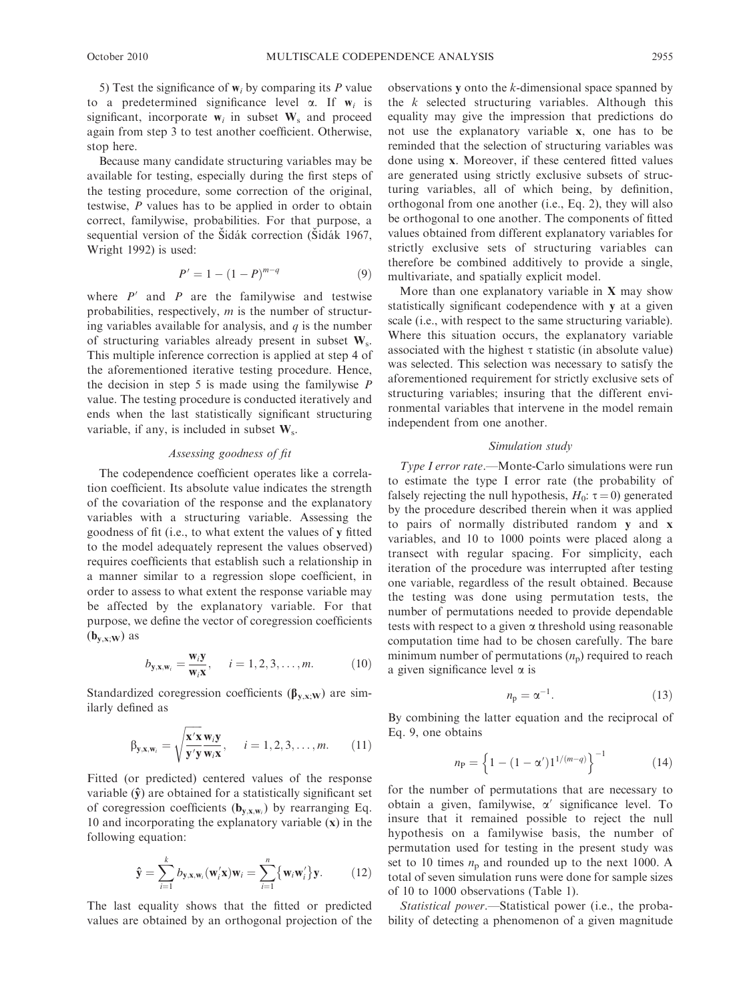5) Test the significance of  $w_i$  by comparing its P value to a predetermined significance level  $\alpha$ . If  $w_i$  is significant, incorporate  $w_i$  in subset  $W_s$  and proceed again from step 3 to test another coefficient. Otherwise, stop here.

Because many candidate structuring variables may be available for testing, especially during the first steps of the testing procedure, some correction of the original, testwise, P values has to be applied in order to obtain correct, familywise, probabilities. For that purpose, a sequential version of the Šidák correction (Šidák 1967, Wright 1992) is used:

$$
P' = 1 - (1 - P)^{m-q}
$$
 (9)

where  $P'$  and P are the familywise and testwise probabilities, respectively,  $m$  is the number of structuring variables available for analysis, and  $q$  is the number of structuring variables already present in subset Ws. This multiple inference correction is applied at step 4 of the aforementioned iterative testing procedure. Hence, the decision in step 5 is made using the familywise  $$ value. The testing procedure is conducted iteratively and ends when the last statistically significant structuring variable, if any, is included in subset  $W_s$ .

# Assessing goodness of fit

The codependence coefficient operates like a correlation coefficient. Its absolute value indicates the strength of the covariation of the response and the explanatory variables with a structuring variable. Assessing the goodness of fit (i.e., to what extent the values of y fitted to the model adequately represent the values observed) requires coefficients that establish such a relationship in a manner similar to a regression slope coefficient, in order to assess to what extent the response variable may be affected by the explanatory variable. For that purpose, we define the vector of coregression coefficients  $(b_{v.x:W})$  as

$$
b_{\mathbf{y},\mathbf{x},\mathbf{w}_i} = \frac{\mathbf{w}_i \mathbf{y}}{\mathbf{w}_i \mathbf{x}}, \quad i = 1, 2, 3, \dots, m.
$$
 (10)

Standardized coregression coefficients ( $\beta_{v,x,W}$ ) are similarly defined as

$$
\beta_{\mathbf{y},\mathbf{x},\mathbf{w}_i} = \sqrt{\frac{\mathbf{x}'\mathbf{x}}{\mathbf{y}'\mathbf{y}}}\frac{\mathbf{w}_i\mathbf{y}}{\mathbf{w}_i\mathbf{x}}, \quad i = 1, 2, 3, \dots, m. \quad (11)
$$

Fitted (or predicted) centered values of the response variable  $(\hat{y})$  are obtained for a statistically significant set of coregression coefficients  $(b_{y,x,w_i})$  by rearranging Eq. 10 and incorporating the explanatory variable (x) in the following equation:

$$
\hat{\mathbf{y}} = \sum_{i=1}^{k} b_{\mathbf{y},\mathbf{x},\mathbf{w}_i}(\mathbf{w}_i'\mathbf{x})\mathbf{w}_i = \sum_{i=1}^{n} \{\mathbf{w}_i\mathbf{w}_i'\}\mathbf{y}.
$$
 (12)

The last equality shows that the fitted or predicted values are obtained by an orthogonal projection of the observations  $y$  onto the  $k$ -dimensional space spanned by the  $k$  selected structuring variables. Although this equality may give the impression that predictions do not use the explanatory variable x, one has to be reminded that the selection of structuring variables was done using x. Moreover, if these centered fitted values are generated using strictly exclusive subsets of structuring variables, all of which being, by definition, orthogonal from one another (i.e., Eq. 2), they will also be orthogonal to one another. The components of fitted values obtained from different explanatory variables for strictly exclusive sets of structuring variables can therefore be combined additively to provide a single, multivariate, and spatially explicit model.

More than one explanatory variable in  $X$  may show statistically significant codependence with y at a given scale (i.e., with respect to the same structuring variable). Where this situation occurs, the explanatory variable associated with the highest  $\tau$  statistic (in absolute value) was selected. This selection was necessary to satisfy the aforementioned requirement for strictly exclusive sets of structuring variables; insuring that the different environmental variables that intervene in the model remain independent from one another.

#### Simulation study

Type I error rate.—Monte-Carlo simulations were run to estimate the type I error rate (the probability of falsely rejecting the null hypothesis,  $H_0$ :  $\tau = 0$ ) generated by the procedure described therein when it was applied to pairs of normally distributed random y and x variables, and 10 to 1000 points were placed along a transect with regular spacing. For simplicity, each iteration of the procedure was interrupted after testing one variable, regardless of the result obtained. Because the testing was done using permutation tests, the number of permutations needed to provide dependable tests with respect to a given  $\alpha$  threshold using reasonable computation time had to be chosen carefully. The bare minimum number of permutations  $(n_p)$  required to reach a given significance level  $\alpha$  is

$$
n_{\rm p} = \alpha^{-1}.\tag{13}
$$

By combining the latter equation and the reciprocal of Eq. 9, one obtains

$$
n_{\rm P} = \left\{ 1 - (1 - \alpha') 1^{1/(m-q)} \right\}^{-1} \tag{14}
$$

for the number of permutations that are necessary to obtain a given, familywise,  $\alpha'$  significance level. To insure that it remained possible to reject the null hypothesis on a familywise basis, the number of permutation used for testing in the present study was set to 10 times  $n_p$  and rounded up to the next 1000. A total of seven simulation runs were done for sample sizes of 10 to 1000 observations (Table 1).

Statistical power.—Statistical power (i.e., the probability of detecting a phenomenon of a given magnitude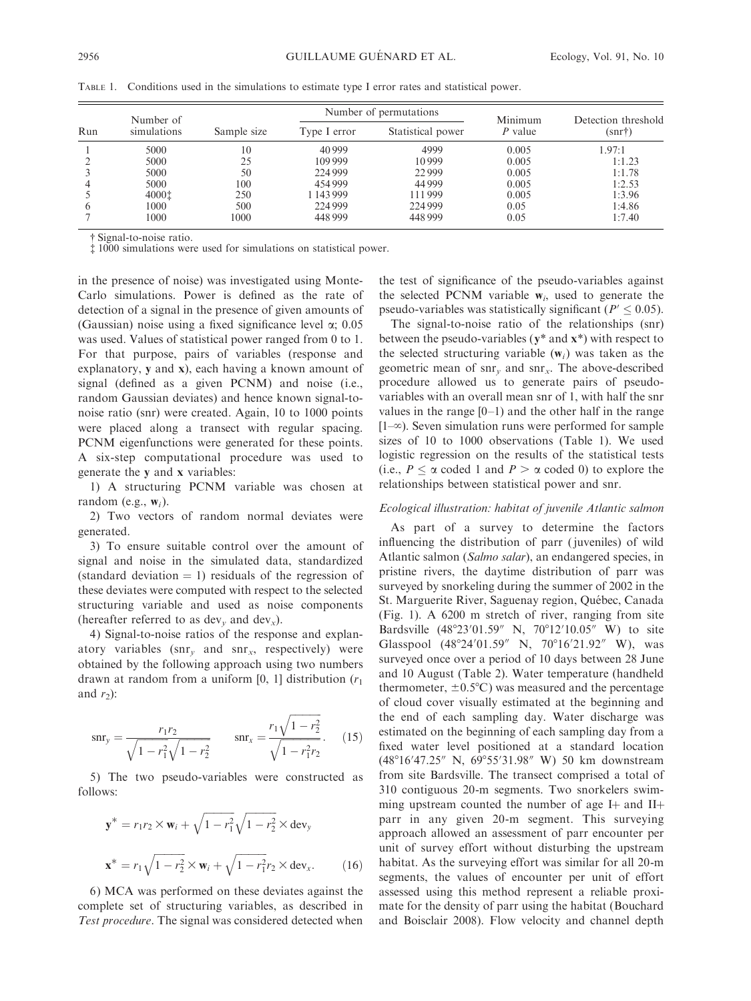| Run | Number of<br>simulations |             |              | Number of permutations | Minimum<br>P value | Detection threshold<br>(snr†) |
|-----|--------------------------|-------------|--------------|------------------------|--------------------|-------------------------------|
|     |                          | Sample size | Type I error | Statistical power      |                    |                               |
|     | 5000                     | 10          | 40 9 99      | 4999                   | 0.005              | 1.97:1                        |
|     | 5000                     | 25          | 109 999      | 10999                  | 0.005              | 1:1.23                        |
|     | 5000                     | 50          | 224 999      | 22999                  | 0.005              | 1:1.78                        |
|     | 5000                     | 100         | 454999       | 44 9 9 9               | 0.005              | 1:2.53                        |
|     | 40001                    | 250         | 1143999      | 111999                 | 0.005              | 1:3.96                        |
| 6   | 1000                     | 500         | 224 999      | 224 999                | 0.05               | 1:4.86                        |
|     | 1000                     | 1000        | 448 999      | 448 999                | 0.05               | 1:7.40                        |

TABLE 1. Conditions used in the simulations to estimate type I error rates and statistical power.

- Signal-to-noise ratio.

1000 simulations were used for simulations on statistical power.

in the presence of noise) was investigated using Monte-Carlo simulations. Power is defined as the rate of detection of a signal in the presence of given amounts of (Gaussian) noise using a fixed significance level  $\alpha$ ; 0.05 was used. Values of statistical power ranged from 0 to 1. For that purpose, pairs of variables (response and explanatory, y and x), each having a known amount of signal (defined as a given PCNM) and noise (i.e., random Gaussian deviates) and hence known signal-tonoise ratio (snr) were created. Again, 10 to 1000 points were placed along a transect with regular spacing. PCNM eigenfunctions were generated for these points. A six-step computational procedure was used to generate the y and x variables:

1) A structuring PCNM variable was chosen at random (e.g.,  $w_i$ ).

2) Two vectors of random normal deviates were generated.

3) To ensure suitable control over the amount of signal and noise in the simulated data, standardized (standard deviation  $= 1$ ) residuals of the regression of these deviates were computed with respect to the selected structuring variable and used as noise components (hereafter referred to as  $dev_v$  and  $dev_x$ ).

4) Signal-to-noise ratios of the response and explanatory variables ( $\text{snr}_v$  and  $\text{snr}_x$ , respectively) were obtained by the following approach using two numbers drawn at random from a uniform  $[0, 1]$  distribution  $(r_1)$ and  $r_2$ ):

$$
snr_y = \frac{r_1r_2}{\sqrt{1 - r_1^2}\sqrt{1 - r_2^2}} \qquad snr_x = \frac{r_1\sqrt{1 - r_2^2}}{\sqrt{1 - r_1^2r_2}}.
$$
 (15)

5) The two pseudo-variables were constructed as follows:

$$
\mathbf{y}^* = r_1 r_2 \times \mathbf{w}_i + \sqrt{1 - r_1^2} \sqrt{1 - r_2^2} \times \text{dev}_y
$$
  

$$
\mathbf{x}^* = r_1 \sqrt{1 - r_2^2} \times \mathbf{w}_i + \sqrt{1 - r_1^2} r_2 \times \text{dev}_x.
$$
 (16)

6) MCA was performed on these deviates against the complete set of structuring variables, as described in Test procedure. The signal was considered detected when the test of significance of the pseudo-variables against the selected PCNM variable  $w_i$ , used to generate the pseudo-variables was statistically significant ( $P' < 0.05$ ).

The signal-to-noise ratio of the relationships (snr) between the pseudo-variables ( $y^*$  and  $x^*$ ) with respect to the selected structuring variable  $(w_i)$  was taken as the geometric mean of  $\text{snr}_v$  and  $\text{snr}_x$ . The above-described procedure allowed us to generate pairs of pseudovariables with an overall mean snr of 1, with half the snr values in the range  $[0-1)$  and the other half in the range  $[1-\infty)$ . Seven simulation runs were performed for sample sizes of 10 to 1000 observations (Table 1). We used logistic regression on the results of the statistical tests (i.e.,  $P \le \alpha$  coded 1 and  $P > \alpha$  coded 0) to explore the relationships between statistical power and snr.

# Ecological illustration: habitat of juvenile Atlantic salmon

As part of a survey to determine the factors influencing the distribution of parr ( juveniles) of wild Atlantic salmon (Salmo salar), an endangered species, in pristine rivers, the daytime distribution of parr was surveyed by snorkeling during the summer of 2002 in the St. Marguerite River, Saguenay region, Québec, Canada (Fig. 1). A 6200 m stretch of river, ranging from site Bardsville  $(48^{\circ}23'01.59''$  N,  $70^{\circ}12'10.05''$  W) to site Glasspool  $(48^{\circ}24'01.59''$  N,  $70^{\circ}16'21.92''$  W), was surveyed once over a period of 10 days between 28 June and 10 August (Table 2). Water temperature (handheld thermometer,  $\pm 0.5^{\circ}$ C) was measured and the percentage of cloud cover visually estimated at the beginning and the end of each sampling day. Water discharge was estimated on the beginning of each sampling day from a fixed water level positioned at a standard location (48°16′47.25″ N, 69°55′31.98″ W) 50 km downstream from site Bardsville. The transect comprised a total of 310 contiguous 20-m segments. Two snorkelers swimming upstream counted the number of age I $+$  and II $+$ parr in any given 20-m segment. This surveying approach allowed an assessment of parr encounter per unit of survey effort without disturbing the upstream habitat. As the surveying effort was similar for all 20-m segments, the values of encounter per unit of effort assessed using this method represent a reliable proximate for the density of parr using the habitat (Bouchard and Boisclair 2008). Flow velocity and channel depth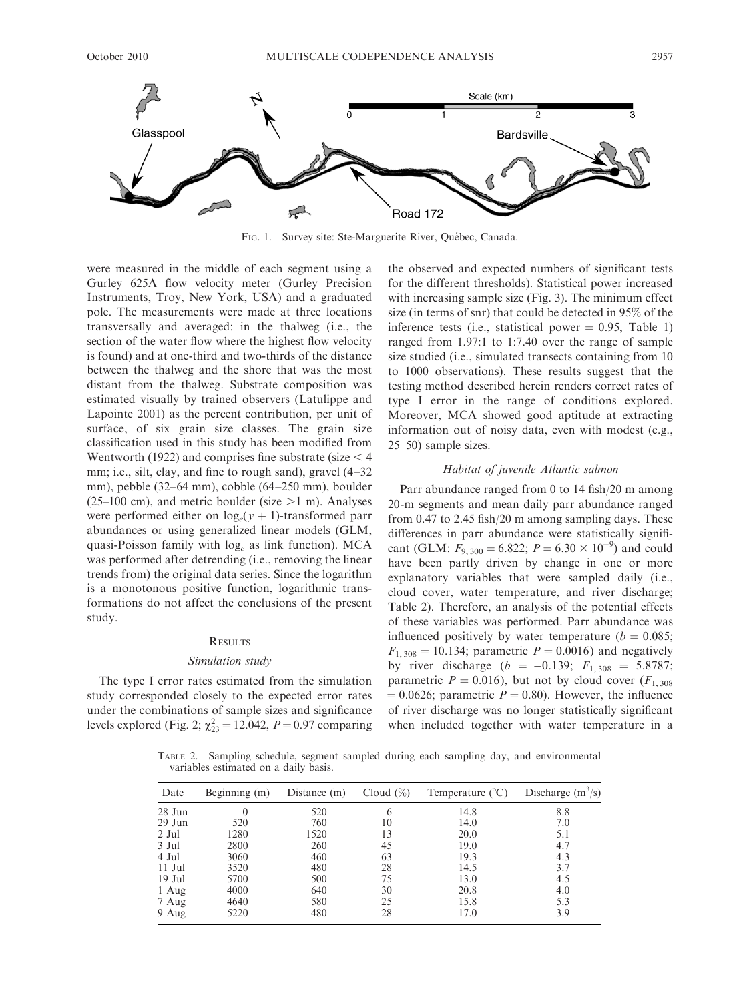



FIG. 1. Survey site: Ste-Marguerite River, Québec, Canada.

were measured in the middle of each segment using a Gurley 625A flow velocity meter (Gurley Precision Instruments, Troy, New York, USA) and a graduated pole. The measurements were made at three locations transversally and averaged: in the thalweg (i.e., the section of the water flow where the highest flow velocity is found) and at one-third and two-thirds of the distance between the thalweg and the shore that was the most distant from the thalweg. Substrate composition was estimated visually by trained observers (Latulippe and Lapointe 2001) as the percent contribution, per unit of surface, of six grain size classes. The grain size classification used in this study has been modified from Wentworth (1922) and comprises fine substrate (size  $<$  4 mm; i.e., silt, clay, and fine to rough sand), gravel (4–32 mm), pebble (32–64 mm), cobble (64–250 mm), boulder  $(25-100 \text{ cm})$ , and metric boulder (size  $>1 \text{ m}$ ). Analyses were performed either on  $log_e(y + 1)$ -transformed parr abundances or using generalized linear models (GLM, quasi-Poisson family with  $log_e$  as link function). MCA was performed after detrending (i.e., removing the linear trends from) the original data series. Since the logarithm is a monotonous positive function, logarithmic transformations do not affect the conclusions of the present study.

# **RESULTS**

### Simulation study

The type I error rates estimated from the simulation study corresponded closely to the expected error rates under the combinations of sample sizes and significance levels explored (Fig. 2;  $\chi_{23}^2 = 12.042$ ,  $P = 0.97$  comparing

the observed and expected numbers of significant tests for the different thresholds). Statistical power increased with increasing sample size (Fig. 3). The minimum effect size (in terms of snr) that could be detected in 95% of the inference tests (i.e., statistical power  $= 0.95$ , Table 1) ranged from 1.97:1 to 1:7.40 over the range of sample size studied (i.e., simulated transects containing from 10 to 1000 observations). These results suggest that the testing method described herein renders correct rates of type I error in the range of conditions explored. Moreover, MCA showed good aptitude at extracting information out of noisy data, even with modest (e.g., 25–50) sample sizes.

# Habitat of juvenile Atlantic salmon

Parr abundance ranged from 0 to 14 fish/20 m among 20-m segments and mean daily parr abundance ranged from 0.47 to 2.45 fish/20 m among sampling days. These differences in parr abundance were statistically significant (GLM:  $F_{9,300} = 6.822$ ;  $P = 6.30 \times 10^{-9}$ ) and could have been partly driven by change in one or more explanatory variables that were sampled daily (i.e., cloud cover, water temperature, and river discharge; Table 2). Therefore, an analysis of the potential effects of these variables was performed. Parr abundance was influenced positively by water temperature ( $b = 0.085$ ;  $F_{1,308} = 10.134$ ; parametric  $P = 0.0016$ ) and negatively by river discharge  $(b = -0.139; F_{1,308} = 5.8787;$ parametric  $P = 0.016$ ), but not by cloud cover ( $F_{1,308}$ )  $= 0.0626$ ; parametric  $P = 0.80$ ). However, the influence of river discharge was no longer statistically significant when included together with water temperature in a

TABLE 2. Sampling schedule, segment sampled during each sampling day, and environmental variables estimated on a daily basis.

| Date     | Beginning (m) | Distance (m) | Cloud $(\%)$ | Temperature $(^{\circ}C)$ | Discharge $(m^3/s)$ |
|----------|---------------|--------------|--------------|---------------------------|---------------------|
| 28 Jun   | $\theta$      | 520          | 6            | 14.8                      | 8.8                 |
| $29$ Jun | 520           | 760          | 10           | 14.0                      | 7.0                 |
| 2 Jul    | 1280          | 1520         | 13           | 20.0                      | 5.1                 |
| 3 Jul    | 2800          | 260          | 45           | 19.0                      | 4.7                 |
| 4 Jul    | 3060          | 460          | 63           | 19.3                      | 4.3                 |
| $11$ Jul | 3520          | 480          | 28           | 14.5                      | 3.7                 |
| $19$ Jul | 5700          | 500          | 75           | 13.0                      | 4.5                 |
| 1 Aug    | 4000          | 640          | 30           | 20.8                      | 4.0                 |
| 7 Aug    | 4640          | 580          | 25           | 15.8                      | 5.3                 |
| 9 Aug    | 5220          | 480          | 28           | 17.0                      | 3.9                 |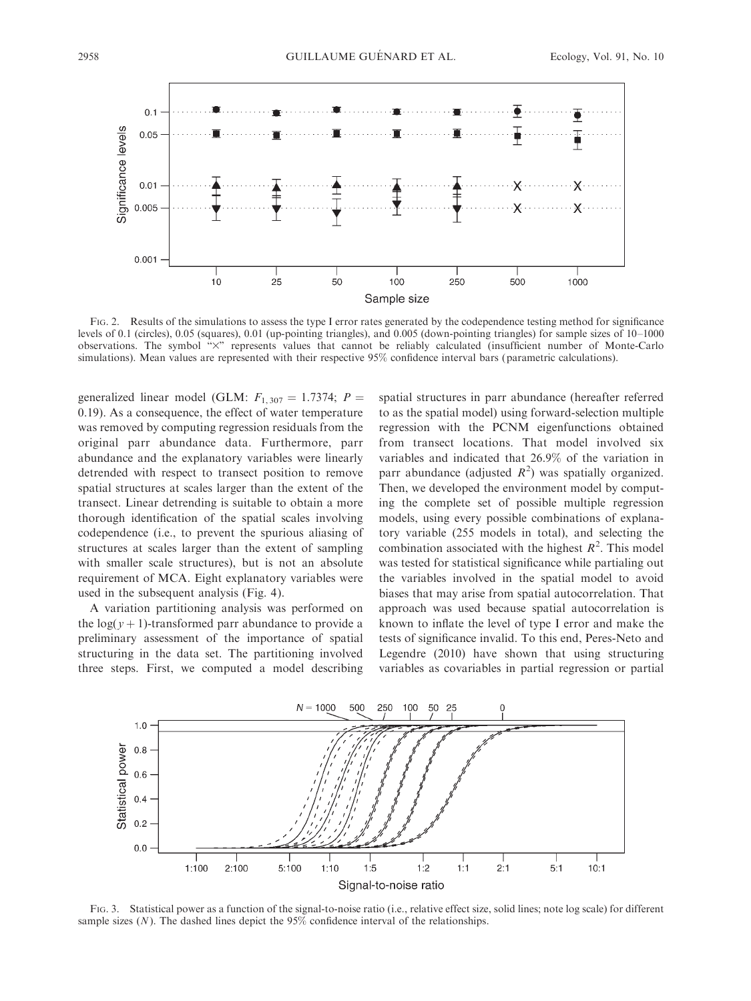

FIG. 2. Results of the simulations to assess the type I error rates generated by the codependence testing method for significance levels of 0.1 (circles), 0.05 (squares), 0.01 (up-pointing triangles), and 0.005 (down-pointing triangles) for sample sizes of 10–1000 observations. The symbol ''3'' represents values that cannot be reliably calculated (insufficient number of Monte-Carlo simulations). Mean values are represented with their respective 95% confidence interval bars (parametric calculations).

generalized linear model (GLM:  $F_{1,307} = 1.7374$ ;  $P =$ 0.19). As a consequence, the effect of water temperature was removed by computing regression residuals from the original parr abundance data. Furthermore, parr abundance and the explanatory variables were linearly detrended with respect to transect position to remove spatial structures at scales larger than the extent of the transect. Linear detrending is suitable to obtain a more thorough identification of the spatial scales involving codependence (i.e., to prevent the spurious aliasing of structures at scales larger than the extent of sampling with smaller scale structures), but is not an absolute requirement of MCA. Eight explanatory variables were used in the subsequent analysis (Fig. 4).

A variation partitioning analysis was performed on the  $log(y + 1)$ -transformed parr abundance to provide a preliminary assessment of the importance of spatial structuring in the data set. The partitioning involved three steps. First, we computed a model describing spatial structures in parr abundance (hereafter referred to as the spatial model) using forward-selection multiple regression with the PCNM eigenfunctions obtained from transect locations. That model involved six variables and indicated that 26.9% of the variation in parr abundance (adjusted  $R^2$ ) was spatially organized. Then, we developed the environment model by computing the complete set of possible multiple regression models, using every possible combinations of explanatory variable (255 models in total), and selecting the combination associated with the highest  $R^2$ . This model was tested for statistical significance while partialing out the variables involved in the spatial model to avoid biases that may arise from spatial autocorrelation. That approach was used because spatial autocorrelation is known to inflate the level of type I error and make the tests of significance invalid. To this end, Peres-Neto and Legendre (2010) have shown that using structuring variables as covariables in partial regression or partial



FIG. 3. Statistical power as a function of the signal-to-noise ratio (i.e., relative effect size, solid lines; note log scale) for different sample sizes  $(N)$ . The dashed lines depict the 95% confidence interval of the relationships.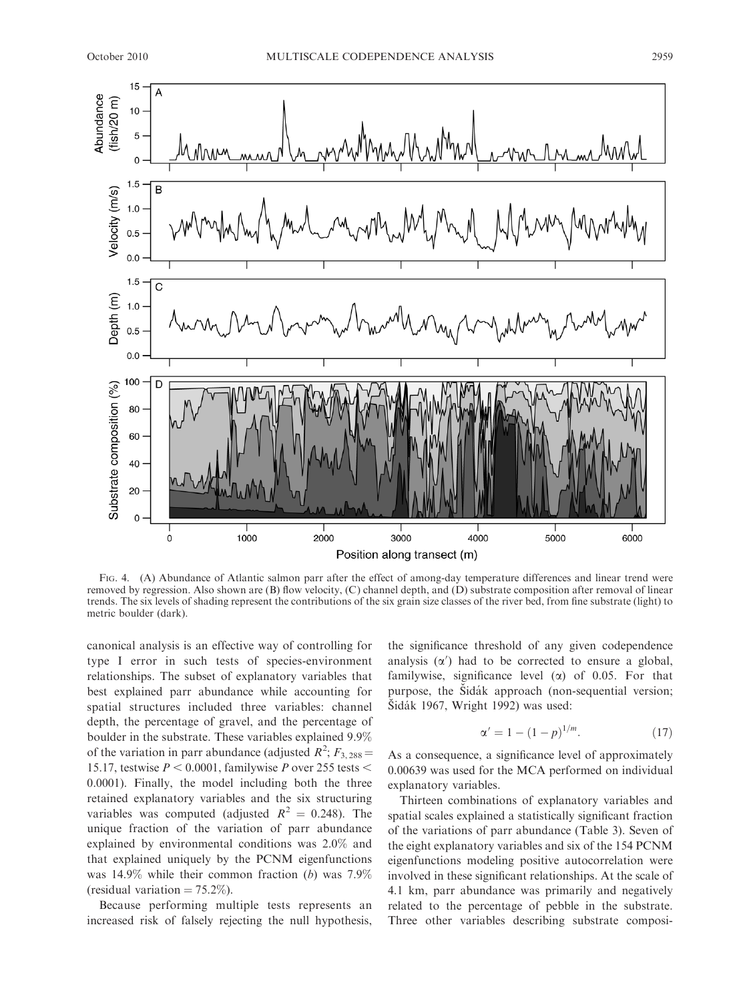



FIG. 4. (A) Abundance of Atlantic salmon parr after the effect of among-day temperature differences and linear trend were removed by regression. Also shown are (B) flow velocity, (C) channel depth, and (D) substrate composition after removal of linear trends. The six levels of shading represent the contributions of the six grain size classes of the river bed, from fine substrate (light) to metric boulder (dark).

canonical analysis is an effective way of controlling for type I error in such tests of species-environment relationships. The subset of explanatory variables that best explained parr abundance while accounting for spatial structures included three variables: channel depth, the percentage of gravel, and the percentage of boulder in the substrate. These variables explained 9.9% of the variation in parr abundance (adjusted  $R^2$ ;  $F_{3,288}$  = 15.17, testwise  $P < 0.0001$ , familywise P over 255 tests  $<$ 0.0001). Finally, the model including both the three retained explanatory variables and the six structuring variables was computed (adjusted  $R^2 = 0.248$ ). The unique fraction of the variation of parr abundance explained by environmental conditions was 2.0% and that explained uniquely by the PCNM eigenfunctions was 14.9% while their common fraction  $(b)$  was 7.9% (residual variation  $= 75.2\%$ ).

Because performing multiple tests represents an increased risk of falsely rejecting the null hypothesis, the significance threshold of any given codependence analysis  $(\alpha')$  had to be corrected to ensure a global, familywise, significance level  $(\alpha)$  of 0.05. For that purpose, the Šidák approach (non-sequential version; Šidák 1967, Wright 1992) was used:

$$
\alpha' = 1 - (1 - p)^{1/m}.\tag{17}
$$

As a consequence, a significance level of approximately 0.00639 was used for the MCA performed on individual explanatory variables.

Thirteen combinations of explanatory variables and spatial scales explained a statistically significant fraction of the variations of parr abundance (Table 3). Seven of the eight explanatory variables and six of the 154 PCNM eigenfunctions modeling positive autocorrelation were involved in these significant relationships. At the scale of 4.1 km, parr abundance was primarily and negatively related to the percentage of pebble in the substrate. Three other variables describing substrate composi-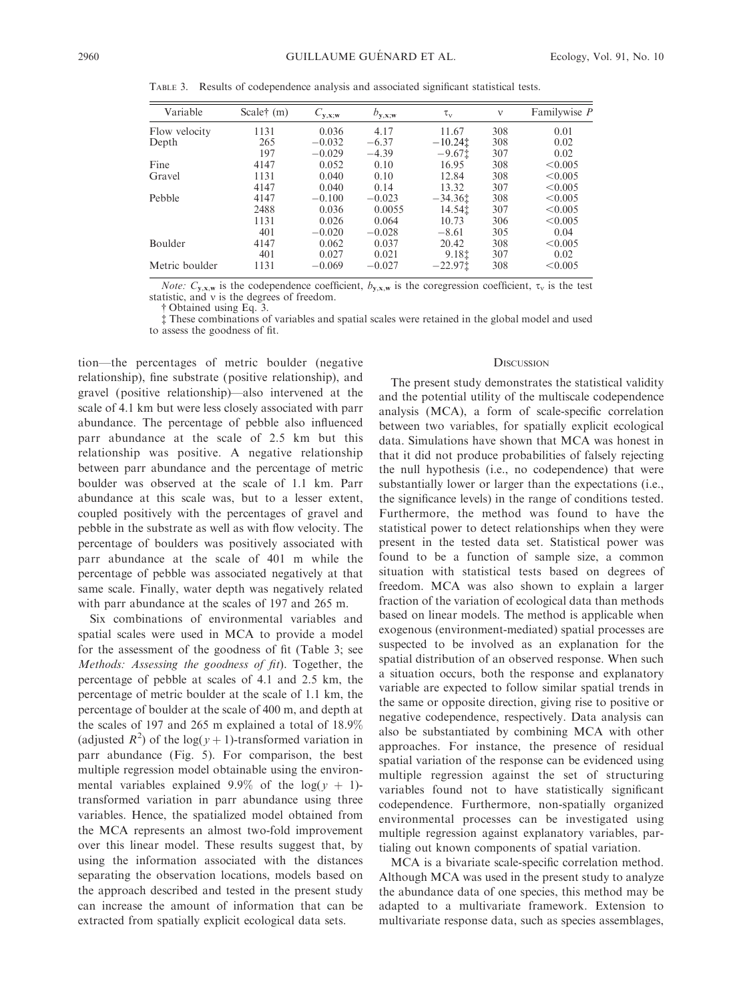| Variable       | Scale $\uparrow$ (m) | $C_{\mathbf{y},\mathbf{x};\mathbf{w}}$ | $b_{\mathbf{y},\mathbf{x};\mathbf{w}}$ | $\tau_{\rm v}$  | v   | Familywise P |
|----------------|----------------------|----------------------------------------|----------------------------------------|-----------------|-----|--------------|
| Flow velocity  | 1131                 | 0.036                                  | 4.17                                   | 11.67           | 308 | 0.01         |
| Depth          | 265                  | $-0.032$                               | $-6.37$                                | $-10.24$ t      | 308 | 0.02         |
|                | 197                  | $-0.029$                               | $-4.39$                                | $-9.671$        | 307 | 0.02         |
| Fine           | 4147                 | 0.052                                  | 0.10                                   | 16.95           | 308 | < 0.005      |
| Gravel         | 1131                 | 0.040                                  | 0.10                                   | 12.84           | 308 | < 0.005      |
|                | 4147                 | 0.040                                  | 0.14                                   | 13.32           | 307 | < 0.005      |
| Pebble         | 4147                 | $-0.100$                               | $-0.023$                               | $-34.36\dagger$ | 308 | < 0.005      |
|                | 2488                 | 0.036                                  | 0.0055                                 | 14.541          | 307 | < 0.005      |
|                | 1131                 | 0.026                                  | 0.064                                  | 10.73           | 306 | < 0.005      |
|                | 401                  | $-0.020$                               | $-0.028$                               | $-8.61$         | 305 | 0.04         |
| Boulder        | 4147                 | 0.062                                  | 0.037                                  | 20.42           | 308 | < 0.005      |
|                | 401                  | 0.027                                  | 0.021                                  | 9.181           | 307 | 0.02         |
| Metric boulder | 1131                 | $-0.069$                               | $-0.027$                               | $-22.971$       | 308 | < 0.005      |

TABLE 3. Results of codependence analysis and associated significant statistical tests.

*Note:*  $C_{y,x,w}$  is the codependence coefficient,  $b_{y,x,w}$  is the coregression coefficient,  $\tau_v$  is the test statistic, and  $\nu$  is the degrees of freedom.

- Obtained using Eq. 3.

 These combinations of variables and spatial scales were retained in the global model and used to assess the goodness of fit.

tion—the percentages of metric boulder (negative relationship), fine substrate (positive relationship), and gravel (positive relationship)—also intervened at the scale of 4.1 km but were less closely associated with parr abundance. The percentage of pebble also influenced parr abundance at the scale of 2.5 km but this relationship was positive. A negative relationship between parr abundance and the percentage of metric boulder was observed at the scale of 1.1 km. Parr abundance at this scale was, but to a lesser extent, coupled positively with the percentages of gravel and pebble in the substrate as well as with flow velocity. The percentage of boulders was positively associated with parr abundance at the scale of 401 m while the percentage of pebble was associated negatively at that same scale. Finally, water depth was negatively related with parr abundance at the scales of 197 and 265 m.

Six combinations of environmental variables and spatial scales were used in MCA to provide a model for the assessment of the goodness of fit (Table 3; see Methods: Assessing the goodness of fit). Together, the percentage of pebble at scales of 4.1 and 2.5 km, the percentage of metric boulder at the scale of 1.1 km, the percentage of boulder at the scale of 400 m, and depth at the scales of 197 and 265 m explained a total of 18.9% (adjusted  $R^2$ ) of the log(y + 1)-transformed variation in parr abundance (Fig. 5). For comparison, the best multiple regression model obtainable using the environmental variables explained 9.9% of the  $log(y + 1)$ transformed variation in parr abundance using three variables. Hence, the spatialized model obtained from the MCA represents an almost two-fold improvement over this linear model. These results suggest that, by using the information associated with the distances separating the observation locations, models based on the approach described and tested in the present study can increase the amount of information that can be extracted from spatially explicit ecological data sets.

## **DISCUSSION**

The present study demonstrates the statistical validity and the potential utility of the multiscale codependence analysis (MCA), a form of scale-specific correlation between two variables, for spatially explicit ecological data. Simulations have shown that MCA was honest in that it did not produce probabilities of falsely rejecting the null hypothesis (i.e., no codependence) that were substantially lower or larger than the expectations (i.e., the significance levels) in the range of conditions tested. Furthermore, the method was found to have the statistical power to detect relationships when they were present in the tested data set. Statistical power was found to be a function of sample size, a common situation with statistical tests based on degrees of freedom. MCA was also shown to explain a larger fraction of the variation of ecological data than methods based on linear models. The method is applicable when exogenous (environment-mediated) spatial processes are suspected to be involved as an explanation for the spatial distribution of an observed response. When such a situation occurs, both the response and explanatory variable are expected to follow similar spatial trends in the same or opposite direction, giving rise to positive or negative codependence, respectively. Data analysis can also be substantiated by combining MCA with other approaches. For instance, the presence of residual spatial variation of the response can be evidenced using multiple regression against the set of structuring variables found not to have statistically significant codependence. Furthermore, non-spatially organized environmental processes can be investigated using multiple regression against explanatory variables, partialing out known components of spatial variation.

MCA is a bivariate scale-specific correlation method. Although MCA was used in the present study to analyze the abundance data of one species, this method may be adapted to a multivariate framework. Extension to multivariate response data, such as species assemblages,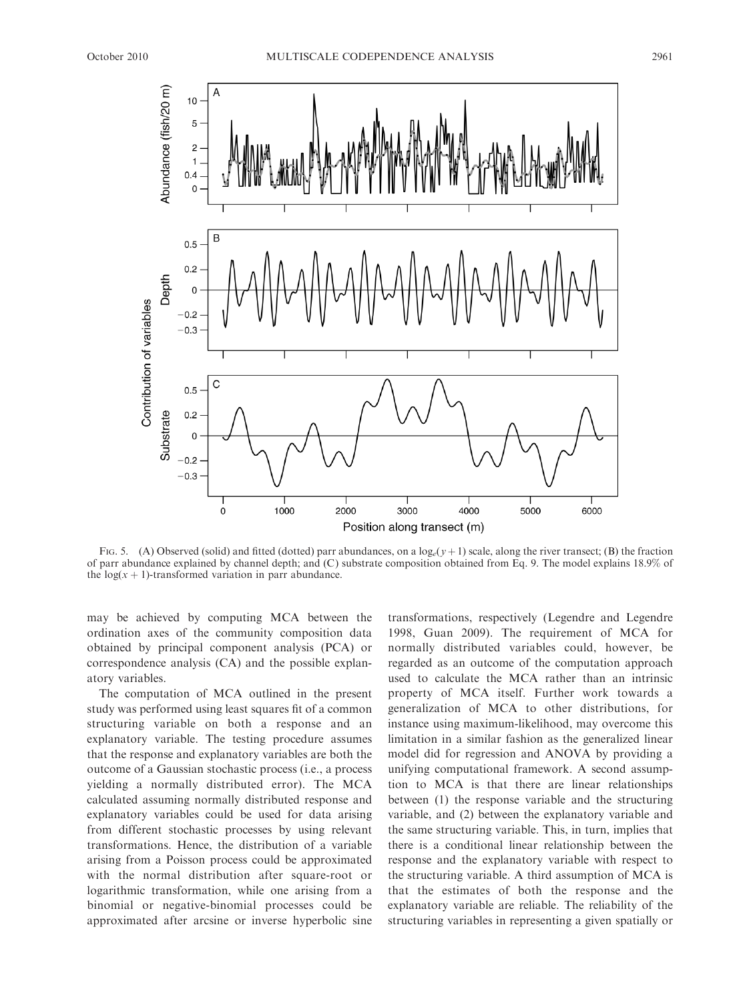

FIG. 5. (A) Observed (solid) and fitted (dotted) parr abundances, on a  $log_e(y+1)$  scale, along the river transect; (B) the fraction of parr abundance explained by channel depth; and (C) substrate composition obtained from Eq. 9. The model explains 18.9% of the  $log(x + 1)$ -transformed variation in parr abundance.

may be achieved by computing MCA between the ordination axes of the community composition data obtained by principal component analysis (PCA) or correspondence analysis (CA) and the possible explanatory variables.

The computation of MCA outlined in the present study was performed using least squares fit of a common structuring variable on both a response and an explanatory variable. The testing procedure assumes that the response and explanatory variables are both the outcome of a Gaussian stochastic process (i.e., a process yielding a normally distributed error). The MCA calculated assuming normally distributed response and explanatory variables could be used for data arising from different stochastic processes by using relevant transformations. Hence, the distribution of a variable arising from a Poisson process could be approximated with the normal distribution after square-root or logarithmic transformation, while one arising from a binomial or negative-binomial processes could be approximated after arcsine or inverse hyperbolic sine transformations, respectively (Legendre and Legendre 1998, Guan 2009). The requirement of MCA for normally distributed variables could, however, be regarded as an outcome of the computation approach used to calculate the MCA rather than an intrinsic property of MCA itself. Further work towards a generalization of MCA to other distributions, for instance using maximum-likelihood, may overcome this limitation in a similar fashion as the generalized linear model did for regression and ANOVA by providing a unifying computational framework. A second assumption to MCA is that there are linear relationships between (1) the response variable and the structuring variable, and (2) between the explanatory variable and the same structuring variable. This, in turn, implies that there is a conditional linear relationship between the response and the explanatory variable with respect to the structuring variable. A third assumption of MCA is that the estimates of both the response and the explanatory variable are reliable. The reliability of the structuring variables in representing a given spatially or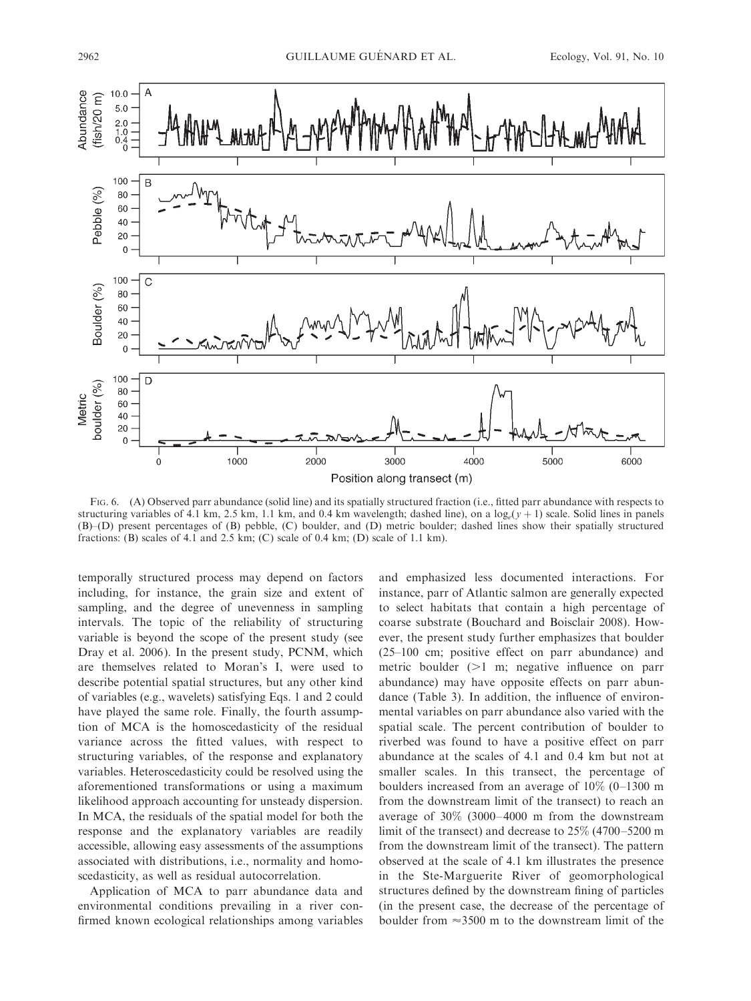

FIG. 6. (A) Observed parr abundance (solid line) and its spatially structured fraction (i.e., fitted parr abundance with respects to structuring variables of 4.1 km, 2.5 km, 1.1 km, and 0.4 km wavelength; dashed line), on a  $\log_e(y+1)$  scale. Solid lines in panels (B)–(D) present percentages of (B) pebble, (C) boulder, and (D) metric boulder; dashed lines show their spatially structured fractions: (B) scales of 4.1 and 2.5 km; (C) scale of 0.4 km; (D) scale of 1.1 km).

temporally structured process may depend on factors including, for instance, the grain size and extent of sampling, and the degree of unevenness in sampling intervals. The topic of the reliability of structuring variable is beyond the scope of the present study (see Dray et al. 2006). In the present study, PCNM, which are themselves related to Moran's I, were used to describe potential spatial structures, but any other kind of variables (e.g., wavelets) satisfying Eqs. 1 and 2 could have played the same role. Finally, the fourth assumption of MCA is the homoscedasticity of the residual variance across the fitted values, with respect to structuring variables, of the response and explanatory variables. Heteroscedasticity could be resolved using the aforementioned transformations or using a maximum likelihood approach accounting for unsteady dispersion. In MCA, the residuals of the spatial model for both the response and the explanatory variables are readily accessible, allowing easy assessments of the assumptions associated with distributions, i.e., normality and homoscedasticity, as well as residual autocorrelation.

Application of MCA to parr abundance data and environmental conditions prevailing in a river confirmed known ecological relationships among variables and emphasized less documented interactions. For instance, parr of Atlantic salmon are generally expected to select habitats that contain a high percentage of coarse substrate (Bouchard and Boisclair 2008). However, the present study further emphasizes that boulder (25–100 cm; positive effect on parr abundance) and metric boulder  $(>1$  m; negative influence on parr abundance) may have opposite effects on parr abundance (Table 3). In addition, the influence of environmental variables on parr abundance also varied with the spatial scale. The percent contribution of boulder to riverbed was found to have a positive effect on parr abundance at the scales of 4.1 and 0.4 km but not at smaller scales. In this transect, the percentage of boulders increased from an average of 10% (0–1300 m from the downstream limit of the transect) to reach an average of 30% (3000–4000 m from the downstream limit of the transect) and decrease to 25% (4700–5200 m from the downstream limit of the transect). The pattern observed at the scale of 4.1 km illustrates the presence in the Ste-Marguerite River of geomorphological structures defined by the downstream fining of particles (in the present case, the decrease of the percentage of boulder from  $\approx$ 3500 m to the downstream limit of the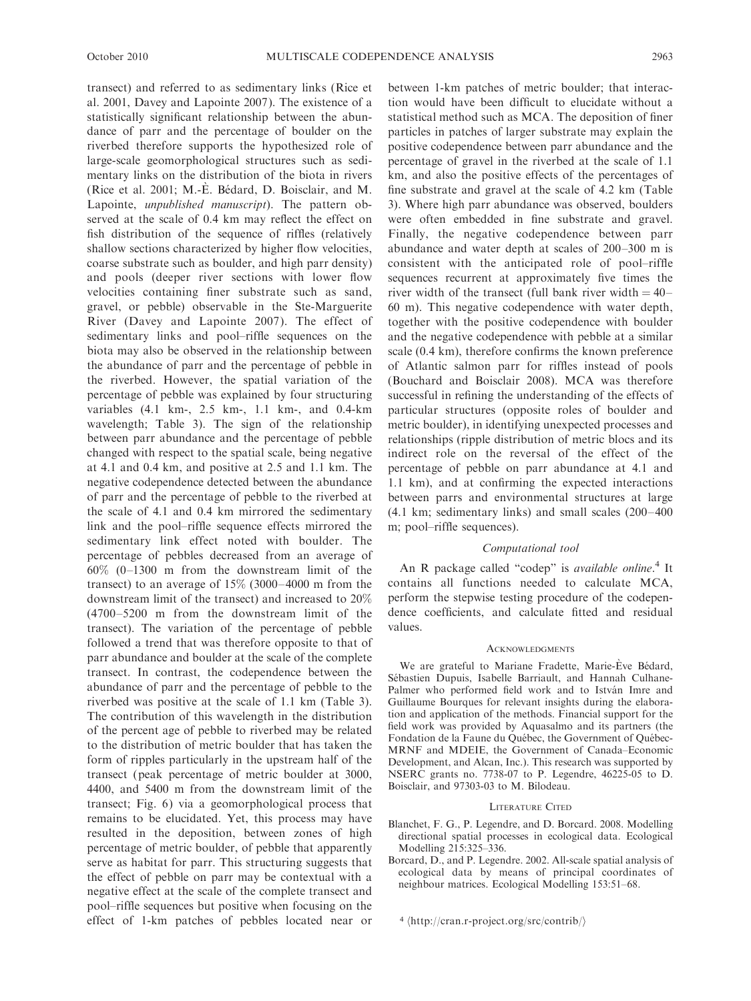transect) and referred to as sedimentary links (Rice et al. 2001, Davey and Lapointe 2007). The existence of a statistically significant relationship between the abundance of parr and the percentage of boulder on the riverbed therefore supports the hypothesized role of large-scale geomorphological structures such as sedimentary links on the distribution of the biota in rivers (Rice et al. 2001; M.-E. Bédard, D. Boisclair, and M. Lapointe, unpublished manuscript). The pattern observed at the scale of 0.4 km may reflect the effect on fish distribution of the sequence of riffles (relatively shallow sections characterized by higher flow velocities, coarse substrate such as boulder, and high parr density) and pools (deeper river sections with lower flow velocities containing finer substrate such as sand, gravel, or pebble) observable in the Ste-Marguerite River (Davey and Lapointe 2007). The effect of sedimentary links and pool–riffle sequences on the biota may also be observed in the relationship between the abundance of parr and the percentage of pebble in the riverbed. However, the spatial variation of the percentage of pebble was explained by four structuring variables (4.1 km-, 2.5 km-, 1.1 km-, and 0.4-km wavelength; Table 3). The sign of the relationship between parr abundance and the percentage of pebble changed with respect to the spatial scale, being negative at 4.1 and 0.4 km, and positive at 2.5 and 1.1 km. The negative codependence detected between the abundance of parr and the percentage of pebble to the riverbed at the scale of 4.1 and 0.4 km mirrored the sedimentary link and the pool–riffle sequence effects mirrored the sedimentary link effect noted with boulder. The percentage of pebbles decreased from an average of 60% (0–1300 m from the downstream limit of the transect) to an average of 15% (3000–4000 m from the downstream limit of the transect) and increased to 20% (4700–5200 m from the downstream limit of the transect). The variation of the percentage of pebble followed a trend that was therefore opposite to that of parr abundance and boulder at the scale of the complete transect. In contrast, the codependence between the abundance of parr and the percentage of pebble to the riverbed was positive at the scale of 1.1 km (Table 3). The contribution of this wavelength in the distribution of the percent age of pebble to riverbed may be related to the distribution of metric boulder that has taken the form of ripples particularly in the upstream half of the transect (peak percentage of metric boulder at 3000, 4400, and 5400 m from the downstream limit of the transect; Fig. 6) via a geomorphological process that remains to be elucidated. Yet, this process may have resulted in the deposition, between zones of high percentage of metric boulder, of pebble that apparently serve as habitat for parr. This structuring suggests that the effect of pebble on parr may be contextual with a negative effect at the scale of the complete transect and pool–riffle sequences but positive when focusing on the effect of 1-km patches of pebbles located near or between 1-km patches of metric boulder; that interaction would have been difficult to elucidate without a statistical method such as MCA. The deposition of finer particles in patches of larger substrate may explain the positive codependence between parr abundance and the percentage of gravel in the riverbed at the scale of 1.1 km, and also the positive effects of the percentages of fine substrate and gravel at the scale of 4.2 km (Table 3). Where high parr abundance was observed, boulders were often embedded in fine substrate and gravel. Finally, the negative codependence between parr abundance and water depth at scales of 200–300 m is consistent with the anticipated role of pool–riffle sequences recurrent at approximately five times the river width of the transect (full bank river width  $=40-$ 60 m). This negative codependence with water depth, together with the positive codependence with boulder and the negative codependence with pebble at a similar scale (0.4 km), therefore confirms the known preference of Atlantic salmon parr for riffles instead of pools (Bouchard and Boisclair 2008). MCA was therefore successful in refining the understanding of the effects of particular structures (opposite roles of boulder and metric boulder), in identifying unexpected processes and relationships (ripple distribution of metric blocs and its indirect role on the reversal of the effect of the percentage of pebble on parr abundance at 4.1 and 1.1 km), and at confirming the expected interactions between parrs and environmental structures at large (4.1 km; sedimentary links) and small scales (200–400 m; pool–riffle sequences).

# Computational tool

An R package called "codep" is *available online*.<sup>4</sup> It contains all functions needed to calculate MCA, perform the stepwise testing procedure of the codependence coefficients, and calculate fitted and residual values.

#### ACKNOWLEDGMENTS

We are grateful to Mariane Fradette, Marie-Eve Bédard, Sébastien Dupuis, Isabelle Barriault, and Hannah Culhane-Palmer who performed field work and to István Imre and Guillaume Bourques for relevant insights during the elaboration and application of the methods. Financial support for the field work was provided by Aquasalmo and its partners (the Fondation de la Faune du Québec, the Government of Québec-MRNF and MDEIE, the Government of Canada–Economic Development, and Alcan, Inc.). This research was supported by NSERC grants no. 7738-07 to P. Legendre, 46225-05 to D. Boisclair, and 97303-03 to M. Bilodeau.

## LITERATURE CITED

- Blanchet, F. G., P. Legendre, and D. Borcard. 2008. Modelling directional spatial processes in ecological data. Ecological Modelling 215:325–336.
- Borcard, D., and P. Legendre. 2002. All-scale spatial analysis of ecological data by means of principal coordinates of neighbour matrices. Ecological Modelling 153:51–68.

<sup>4</sup> hhttp://cran.r-project.org/src/contrib/i